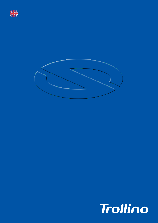



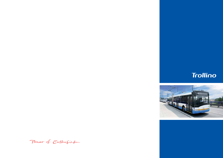Power of Enthusiasm



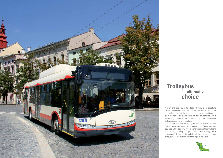

A clean and quiet city is the dream of many of its inhabitants. Urban authorities aim to reduce emissions of noise and exhaust gases to ensure better living conditions for their residents. In taking care of the environment, which significantly influences the quality of life, cties re-introduce trolleybuses as a proven solution. With its low-floor Trollino in 12, 15 and 18 meter versions, Solaris fulfils the vision of a friendly city. These vehicles, powered with electricity, offer a higher comfort than traditional city buses, ensuring a quiet, clean and friendly urban environment. It has to be noted that the 15 meter Solaris trolleybus was the first vehicle of that type in the world.

## **choice Trolleybus alternative**

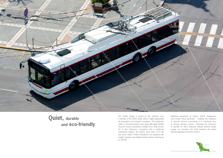

Additional equipment of Solaris Trollino trolleybuses may include diesel generator – enabling the trolleybus to operate without connecting it to overhead lines or energy storage system – allowing the trolleybus to operate on short distances without external power supply, for example, the route between the depot and the beginning of electric traction.

## **and eco-friendly** The Trollino design is based on the solutions used<br>in vehicles of the Urbino family, which is highly appreciated<br>in vehicles of the Urbino family, which is highly appreciated



in vehicles of the Urbino family, which is highly appreciated by passengers and transport companies. The bodyframe made of corrosion-resistant steel along with highly durable structure ensure exceptional strength and a long service life of this trolleybus. Compared with a traditional combustion engines, the electric drive emits 10-15 dB less noise. Solaris Trollino trolleybuses are equipped with modern, dynamic and reliable traction motors reaching up to 250 kW.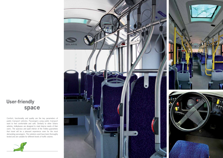Comfort, functionality and quality are the key parameters of public transport vehicles. Passengers using public transport want to feel comfortable and safe. Similarly to other Solaris vehicles, trolleybuses are designed to meet diverse needs of their users. The spacious and quiet interior of the Trollino guarantees that travel will be a pleasant experience even for the most demanding passengers. The solutions used have been thoroughly tested and are suitable for different levels of traffic volume.





## **User-friendly space**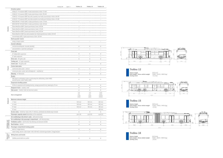|                                     |                                                                                                                         | standard • | option $\circ$ | Trollino 12            | Trollino 15            | Trollino 18                    |
|-------------------------------------|-------------------------------------------------------------------------------------------------------------------------|------------|----------------|------------------------|------------------------|--------------------------------|
|                                     | Driveline system                                                                                                        |            |                |                        |                        |                                |
|                                     | CEGELEC TV Europulse (IGBT), 6-pole asynchronous motor 175 kW                                                           |            |                | $\circ$                | $\circ$                |                                |
|                                     | CEGELEC TV Europulse (IGBT), 6-pole asynchronous motor 250 kW                                                           |            |                |                        |                        | $\circ$                        |
|                                     | CEGELEC TV Europulse (IGBT) two axles powered, two 4-pole asynchronous motors 160 kW                                    |            |                |                        |                        | $\circ$                        |
|                                     | CEGELEC TV Europulse (IGBT) two axles powered, two 6-pole asynchronous motors 175 kW                                    |            |                |                        |                        | $\circ$                        |
|                                     | MEDCOM ANT 175-600 (IGBT), 6-pole asynchronous motor 175 kW                                                             |            |                | $\circ$                | $\circ$                |                                |
|                                     | MEDCOM ANT 240-600 (IGBT), 6-pole asynchronous motor 240 kW                                                             |            |                |                        |                        | $\circ$                        |
| <b>Driveline</b>                    | Škoda BlueDrive (IGBT), 4-pole asynchronous motor 160 kW                                                                |            |                | $\circ$                |                        |                                |
|                                     | Škoda BlueDrive (IGBT), 6-pole asynchronous motor 175 kW                                                                |            |                | $\circ$                |                        |                                |
|                                     | Škoda BlueDrive (IGBT), 6-pole asynchronous motor 250 kW                                                                |            |                |                        | $\circ$                | $\circ$                        |
|                                     | Škoda BlueDrive (IGBT) two axles powered, two 4-pole asynchronous motors 160 kW                                         |            |                |                        |                        | $\circ$                        |
|                                     | Vossloh-Kiepe (IGBT), 4-pole asynchronous motor 160 kW                                                                  |            |                | $\circ$                |                        |                                |
|                                     | Back-up power source                                                                                                    |            |                |                        |                        |                                |
|                                     | energy storage system                                                                                                   |            |                | $\circ$                | $\circ$                | $\circ$                        |
|                                     | <b>Current collectors</b>                                                                                               |            |                |                        |                        |                                |
|                                     |                                                                                                                         |            |                |                        |                        |                                |
|                                     | mechanical pantograph, manually operated                                                                                |            |                | ۰                      | $\bullet$              | $\bullet$                      |
|                                     | semi-automatic or automatic pantograph                                                                                  |            |                | $\circ$                | $\circ$                | $\circ$                        |
|                                     | <b>Front axle</b>                                                                                                       |            |                |                        |                        |                                |
|                                     | ZF independent suspension                                                                                               |            |                | $\bullet$              | $\bullet$              | $\bullet$                      |
|                                     | ZF rigid suspension                                                                                                     |            |                | $\circ$                | $\circ$                | $\circ$                        |
|                                     | <b>Drive axle</b> $-$ ZF gantry axle                                                                                    |            |                | $\bullet$              | $\bullet$              | $\bullet$                      |
|                                     | <b>Trailing axle</b> $-$ ZF rigid suspension                                                                            |            |                |                        | $\bullet$              |                                |
| Chassis                             | Centre axle - ZF gantry axle                                                                                            |            |                |                        |                        | $\bullet$                      |
|                                     | <b>Central lubrication</b>                                                                                              |            |                |                        |                        |                                |
|                                     | central lubrication point - solid oil                                                                                   |            |                | $\bullet$              | $\bullet$              | $\bullet$                      |
|                                     | central lubrication system with self-diagnostic - semi-fluid oil                                                        |            |                | $\circ$                | $\circ$                | $\circ$                        |
|                                     | <b>Steering - ZF Servocom</b>                                                                                           |            |                | ۰                      | $\bullet$              | $\bullet$                      |
|                                     | <b>Brakes</b>                                                                                                           |            |                |                        |                        |                                |
|                                     | EBS (dual-circuit) braking system incorporating the anti-blocking system (ABS)<br>and the traction control system (ASR) |            |                | $\bullet$              | $\bullet$              | $\bullet$                      |
|                                     | <b>Suspension levelling system</b>                                                                                      |            |                |                        |                        |                                |
|                                     | ECAS air suspension with kneeling function, raising by some 60 mm, lowering by 70 mm                                    |            |                | ۰                      | $\bullet$              | $\bullet$                      |
| Bodywork                            | <b>Bodywork frame</b> - stainless steel                                                                                 |            |                | $\bullet$              | $\bullet$              | $\bullet$                      |
|                                     | Side panels - stainless steel and aluminium panels                                                                      |            |                |                        |                        |                                |
|                                     |                                                                                                                         |            |                | $1-2$                  | $1-2$                  | $1 - 2 - 2$                    |
|                                     | Door arrangement                                                                                                        |            |                | $2 - 2$<br>$1 - 2 - 2$ | $2 - 2$<br>$1 - 2 - 2$ | $2 - 2 - 2$<br>$1 - 2 - 2 - 2$ |
|                                     |                                                                                                                         |            |                | $2 - 2 - 2$            | $2 - 2 - 2$            | $2 - 2 - 2 - 2$                |
|                                     | Maximum entrance height                                                                                                 |            |                |                        |                        |                                |
|                                     | $1st$ door                                                                                                              |            |                | 320 mm                 | 320 mm                 | 320 mm                         |
|                                     | 2 <sup>nd</sup> door                                                                                                    |            |                | 320 mm                 | 320 mm                 | 320 mm                         |
|                                     | 3rd door                                                                                                                |            |                | 340 mm                 | 340 mm                 | 340 mm                         |
|                                     | 4 <sup>th</sup> door                                                                                                    |            |                |                        |                        | 340 mm                         |
|                                     | Access ramp - wheelchair ramp at the 2 <sup>nd</sup> entrance, positioned and stowed away manually                      |            |                | $\bullet$              | $\bullet$              | $\bullet$                      |
|                                     | Passenger capacity seated (depending on the equipment)                                                                  |            |                | up to 34               | up to 50               | up to 53                       |
|                                     | Air-conditioning in the driver's cabin - with electrical drive                                                          |            |                | $\circ$                | $\circ$                | $\circ$                        |
|                                     | Air-conditioning in the passenger compartment – with electrical drive                                                   |            |                | $\circ$                | $\circ$                | $\circ$                        |
|                                     | Ventilation system - dual-function fans (blowing and extraction facility)                                               |            |                | $\bullet$              | $\bullet$              | $\bullet$                      |
|                                     | Roof hatches - electric                                                                                                 |            |                | ۰                      | $\bullet$              | $\bullet$                      |
| Ventilation and<br>air-conditioning | Passenger compartment heating system                                                                                    |            |                |                        |                        |                                |
|                                     | electric 1-stage blowers                                                                                                |            |                | $\bullet$              | $\bullet$              | $\bullet$                      |
|                                     | water heating, electric water heater TJ40.3 (40 kW), convector-type heaters, 2-stage blowers                            |            |                | $\circ$                | $\circ$                | $\circ$                        |
|                                     | Wiring looms and boards                                                                                                 |            |                |                        |                        |                                |
| Electrical<br>system                |                                                                                                                         |            |                |                        |                        |                                |
|                                     | CAN-Bus based electrical system                                                                                         |            |                | $\bullet$              | $\bullet$              | $\bullet$                      |